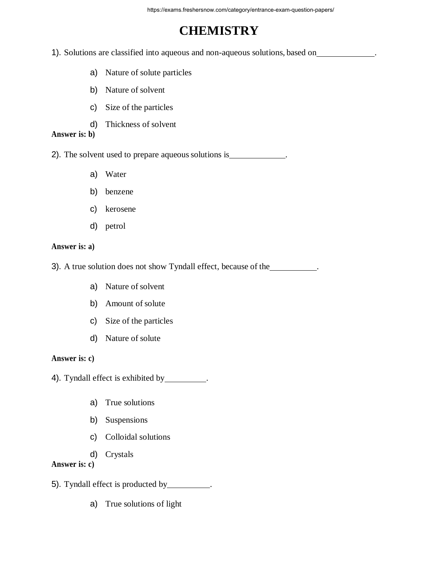# **CHEMISTRY**

1). Solutions are classified into aqueous and non-aqueous solutions, based on .

- a) Nature of solute particles
- b) Nature of solvent
- c) Size of the particles
- d) Thickness of solvent

# **Answer is: b)**

2). The solvent used to prepare aqueous solutions is

- a) Water
- b) benzene
- c) kerosene
- d) petrol

# **Answer is: a)**

3). A true solution does not show Tyndall effect, because of the <u>subsequence</u>

- a) Nature of solvent
- b) Amount of solute
- c) Size of the particles
- d) Nature of solute

## **Answer is: c)**

4). Tyndall effect is exhibited by \_\_\_\_\_\_\_\_.

- a) True solutions
- b) Suspensions
- c) Colloidal solutions
- d) Crystals

# **Answer is: c)**

- 5). Tyndall effect is producted by .
	- a) True solutions of light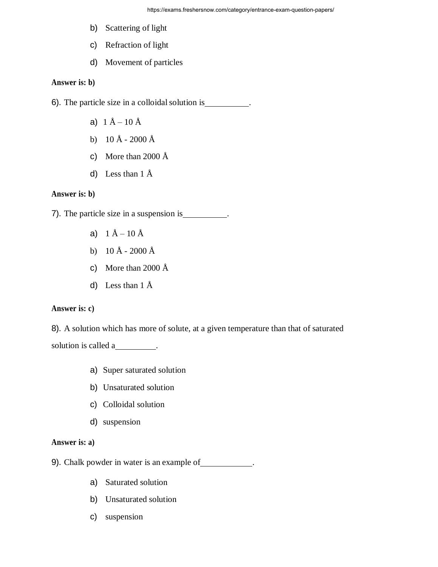- b) Scattering of light
- c) Refraction of light
- d) Movement of particles

# **Answer is: b)**

6). The particle size in a colloidal solution is .

- a)  $1 \text{ Å} 10 \text{ Å}$
- b) 10 Å 2000 Å
- c) More than 2000  $\AA$
- d) Less than  $1 \text{ Å}$

## **Answer is: b)**

7). The particle size in a suspension is \_\_\_\_\_\_\_\_\_.

- a)  $1 \text{ Å} 10 \text{ Å}$
- b)  $10 \text{ Å} 2000 \text{ Å}$
- c) More than 2000 Å
- d) Less than 1 Å

# **Answer is: c)**

8). A solution which has more of solute, at a given temperature than that of saturated solution is called a

- a) Super saturated solution
- b) Unsaturated solution
- c) Colloidal solution
- d) suspension

# **Answer is: a)**

- 9). Chalk powder in water is an example of \_\_\_\_\_\_\_\_\_\_\_\_.
	- a) Saturated solution
	- b) Unsaturated solution
	- c) suspension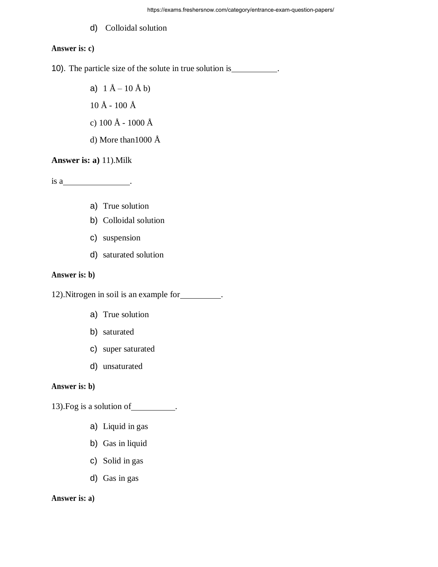# d) Colloidal solution

## **Answer is: c)**

10). The particle size of the solute in true solution is \_\_\_\_\_\_\_\_\_.

a)  $1 \text{ Å} - 10 \text{ Å}$  b)  $10 \text{ Å}$  -  $100 \text{ Å}$ c) 100 Å - 1000 Å d) More than1000 Å

**Answer is: a)** 11).Milk

is a\_\_\_\_\_\_\_\_\_\_\_\_\_\_\_\_\_\_\_\_\_\_\_\_.

- a) True solution
- b) Colloidal solution
- c) suspension
- d) saturated solution

## **Answer is: b)**

12).Nitrogen in soil is an example for .

- a) True solution
- b) saturated
- c) super saturated
- d) unsaturated

## **Answer is: b)**

13). Fog is a solution of \_\_\_\_\_\_\_\_\_\_.

- a) Liquid in gas
- b) Gas in liquid
- c) Solid in gas
- d) Gas in gas

## **Answer is: a)**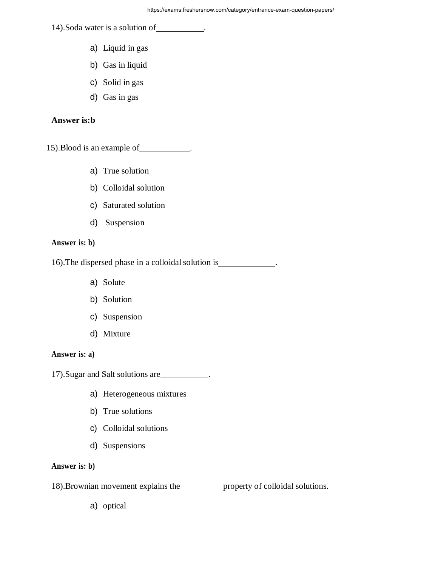14).Soda water is a solution of .

- a) Liquid in gas
- b) Gas in liquid
- c) Solid in gas
- d) Gas in gas

## **Answer is:b**

15). Blood is an example of \_\_\_\_\_\_\_\_\_\_.

- a) True solution
- b) Colloidal solution
- c) Saturated solution
- d) Suspension

#### **Answer is: b)**

16).The dispersed phase in a colloidalsolution is .

- a) Solute
- b) Solution
- c) Suspension
- d) Mixture

# **Answer is: a)**

17).Sugar and Salt solutions are .

- a) Heterogeneous mixtures
- b) True solutions
- c) Colloidal solutions
- d) Suspensions

# **Answer is: b)**

18). Brownian movement explains the <u>property</u> of colloidal solutions.

a) optical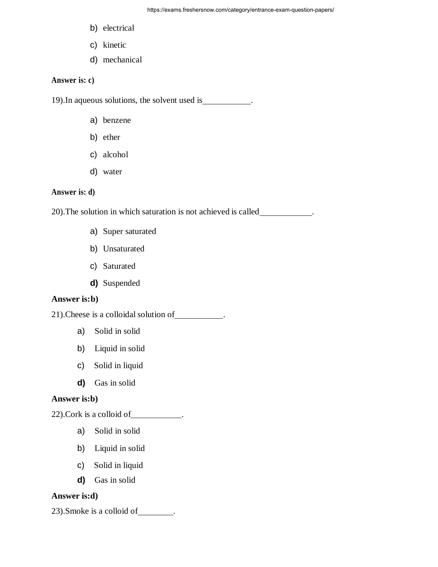- b) electrical
- c) kinetic
- d) mechanical

# **Answer is: c)**

19).In aqueous solutions, the solvent used is .

- a) benzene
- b) ether
- c) alcohol
- d) water

#### **Answer is: d)**

20).The solution in which saturation is not achieved is called .

- a) Super saturated
- b) Unsaturated
- c) Saturated
- **d)** Suspended

#### **Answer is:b)**

21).Cheese is a colloidal solution of .

- a) Solid in solid
- b) Liquid in solid
- c) Solid in liquid
- **d)** Gas in solid

## **Answer is:b)**

22). Cork is a colloid of \_\_\_\_\_\_\_\_\_\_.

- a) Solid in solid
- b) Liquid in solid
- c) Solid in liquid
- **d)** Gas in solid

# **Answer is:d)**

23). Smoke is a colloid of \_\_\_\_\_\_\_\_.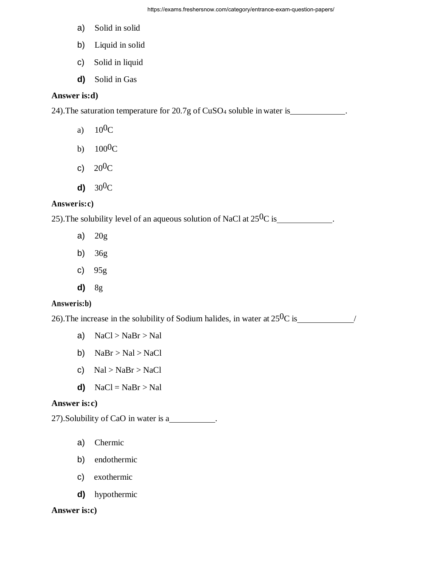- a) Solid in solid
- b) Liquid in solid
- c) Solid in liquid
- **d)** Solid in Gas

# **Answer is:d)**

24).The saturation temperature for 20.7g of CuSO<sup>4</sup> soluble in water is .

- a)  $10^{0}C$
- b)  $100^0C$
- c)  $20^{0}C$
- **d)** 300C

#### **Answeris:c)**

25). The solubility level of an aqueous solution of NaCl at  $25^{0}C$  is .

- a) 20g
- b) 36g
- c) 95g
- **d)** 8g

#### **Answeris:b)**

26). The increase in the solubility of Sodium halides, in water at  $25^{0}C$  is //

- a)  $NaCl > NaBr > Nal$
- b)  $NaBr > Nal > NaCl$
- c)  $\text{Na} > \text{NaBr} > \text{NaCl}$
- **d)**  $\text{NaCl} = \text{NaBr} > \text{Na}$

# **Answer is:c)**

27). Solubility of CaO in water is a

- a) Chermic
- b) endothermic
- c) exothermic
- **d)** hypothermic

#### **Answer is:c)**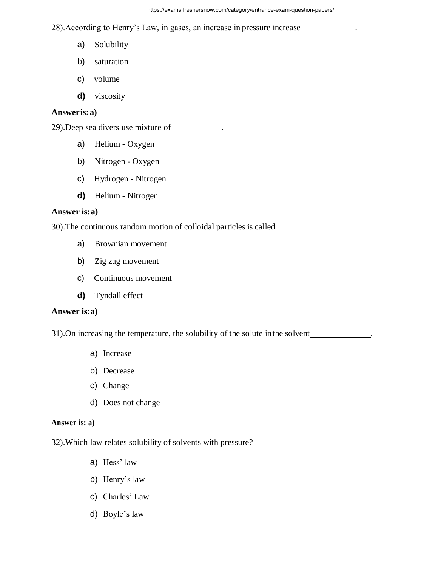28).According to Henry's Law, in gases, an increase in pressure increase .

- a) Solubility
- b) saturation
- c) volume
- **d)** viscosity

#### **Answeris:a)**

29).Deep sea divers use mixture of .

- a) Helium Oxygen
- b) Nitrogen Oxygen
- c) Hydrogen Nitrogen
- **d)** Helium Nitrogen

#### **Answer is:a)**

30).The continuous random motion of colloidal particles is called .

- a) Brownian movement
- b) Zig zag movement
- c) Continuous movement
- **d)** Tyndall effect

#### **Answer is:a)**

31).On increasing the temperature, the solubility of the solute inthe solvent .

- a) Increase
- b) Decrease
- c) Change
- d) Does not change

#### **Answer is: a)**

32).Which law relates solubility of solvents with pressure?

- a) Hess' law
- b) Henry's law
- c) Charles' Law
- d) Boyle's law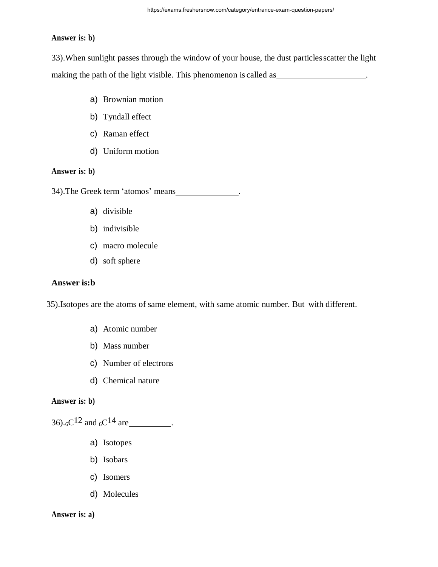#### **Answer is: b)**

33).When sunlight passes through the window of your house, the dust particlesscatter the light making the path of the light visible. This phenomenon is called as \_\_\_\_\_\_\_\_\_\_\_\_\_\_\_\_\_\_\_\_.

- a) Brownian motion
- b) Tyndall effect
- c) Raman effect
- d) Uniform motion

## **Answer is: b)**

34).The Greek term 'atomos' means .

- a) divisible
- b) indivisible
- c) macro molecule
- d) soft sphere

## **Answer is:b**

35).Isotopes are the atoms of same element, with same atomic number. But with different.

- a) Atomic number
- b) Mass number
- c) Number of electrons
- d) Chemical nature

#### **Answer is: b)**

36).6C12 and <sup>6</sup>C14 are .

- a) Isotopes
- b) Isobars
- c) Isomers
- d) Molecules

#### **Answer is: a)**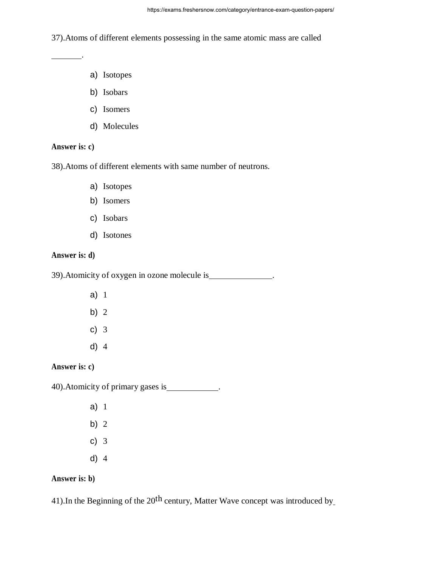37).Atoms of different elements possessing in the same atomic mass are called

- a) Isotopes
- b) Isobars
- c) Isomers
- d) Molecules

## **Answer is: c)**

.

38).Atoms of different elements with same number of neutrons.

- a) Isotopes
- b) Isomers
- c) Isobars
- d) Isotones

# **Answer is: d)**

39).Atomicity of oxygen in ozone molecule is .

- a) 1
- b) 2
- c) 3
- d) 4

**Answer is: c)**

40).Atomicity of primary gases is .

- a) 1
- b) 2
- c) 3
- d) 4

# **Answer is: b)**

41). In the Beginning of the  $20<sup>th</sup>$  century, Matter Wave concept was introduced by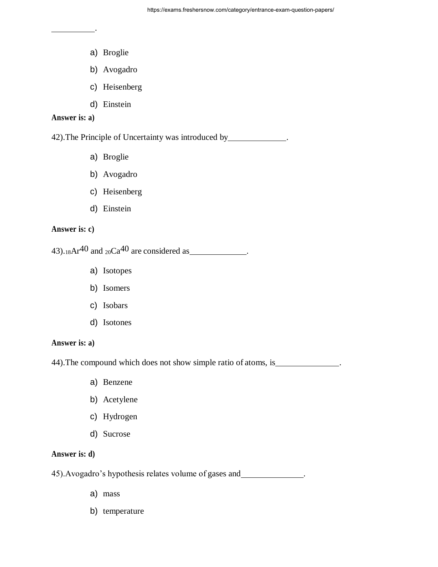a) Broglie

.

- b) Avogadro
- c) Heisenberg
- d) Einstein

#### **Answer is: a)**

42).The Principle of Uncertainty was introduced by .

- a) Broglie
- b) Avogadro
- c) Heisenberg
- d) Einstein

## **Answer is: c)**

43).<sub>18</sub>Ar<sup>40</sup> and <sub>20</sub>Ca<sup>40</sup> are considered as  $\frac{1}{2}$ .

- a) Isotopes
- b) Isomers
- c) Isobars
- d) Isotones

## **Answer is: a)**

44). The compound which does not show simple ratio of atoms, is  $\qquad \qquad$ .

- a) Benzene
- b) Acetylene
- c) Hydrogen
- d) Sucrose

# **Answer is: d)**

45).Avogadro's hypothesis relates volume of gases and .

- a) mass
- b) temperature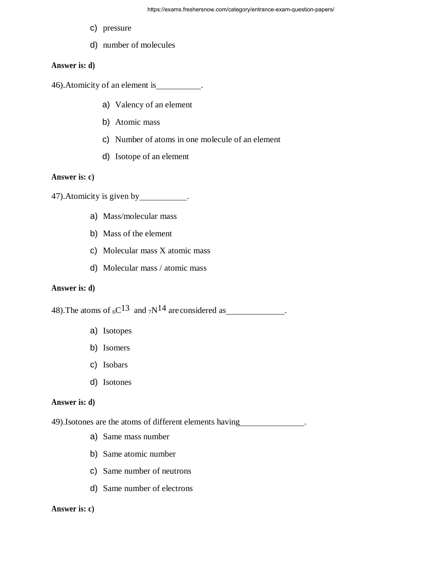- c) pressure
- d) number of molecules

## **Answer is: d)**

46). Atomicity of an element is \_\_\_\_\_\_\_\_\_.

- a) Valency of an element
- b) Atomic mass
- c) Number of atoms in one molecule of an element
- d) Isotope of an element

#### **Answer is: c)**

47).Atomicity is given by .

- a) Mass/molecular mass
- b) Mass of the element
- c) Molecular mass X atomic mass
- d) Molecular mass / atomic mass

# **Answer is: d)**

48).The atoms of 6C13 and 7N14 are considered as .

- a) Isotopes
- b) Isomers
- c) Isobars
- d) Isotones

## **Answer is: d)**

49).Isotones are the atoms of different elements having .

- a) Same mass number
- b) Same atomic number
- c) Same number of neutrons
- d) Same number of electrons

#### **Answer is: c)**